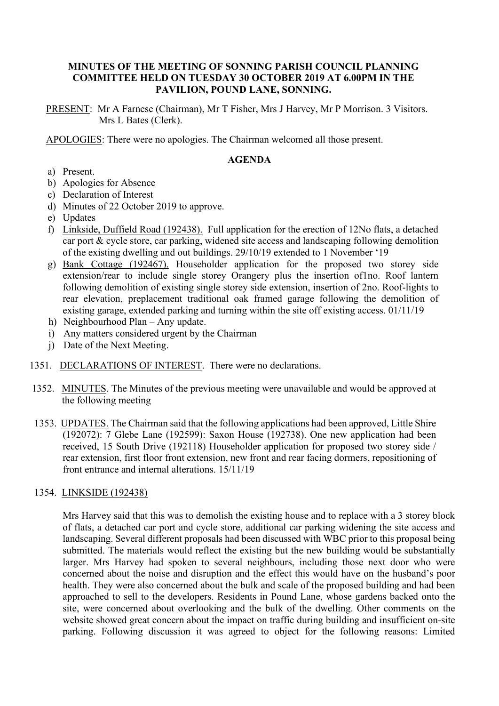## **MINUTES OF THE MEETING OF SONNING PARISH COUNCIL PLANNING COMMITTEE HELD ON TUESDAY 30 OCTOBER 2019 AT 6.00PM IN THE PAVILION, POUND LANE, SONNING.**

PRESENT: Mr A Farnese (Chairman), Mr T Fisher, Mrs J Harvey, Mr P Morrison. 3 Visitors. Mrs L Bates (Clerk).

APOLOGIES: There were no apologies. The Chairman welcomed all those present.

### **AGENDA**

- a) Present.
- b) Apologies for Absence
- c) Declaration of Interest
- d) Minutes of 22 October 2019 to approve.
- e) Updates
- f) Linkside, Duffield Road (192438). Full application for the erection of 12No flats, a detached car port & cycle store, car parking, widened site access and landscaping following demolition of the existing dwelling and out buildings. 29/10/19 extended to 1 November '19
- g) Bank Cottage (192467). Householder application for the proposed two storey side extension/rear to include single storey Orangery plus the insertion of1no. Roof lantern following demolition of existing single storey side extension, insertion of 2no. Roof-lights to rear elevation, preplacement traditional oak framed garage following the demolition of existing garage, extended parking and turning within the site off existing access. 01/11/19
- h) Neighbourhood Plan Any update.
- i) Any matters considered urgent by the Chairman
- j) Date of the Next Meeting.
- 1351. DECLARATIONS OF INTEREST. There were no declarations.
- 1352. MINUTES. The Minutes of the previous meeting were unavailable and would be approved at the following meeting
- 1353. UPDATES. The Chairman said that the following applications had been approved, Little Shire (192072): 7 Glebe Lane (192599): Saxon House (192738). One new application had been received, 15 South Drive (192118) Householder application for proposed two storey side / rear extension, first floor front extension, new front and rear facing dormers, repositioning of front entrance and internal alterations. 15/11/19

#### 1354. LINKSIDE (192438)

Mrs Harvey said that this was to demolish the existing house and to replace with a 3 storey block of flats, a detached car port and cycle store, additional car parking widening the site access and landscaping. Several different proposals had been discussed with WBC prior to this proposal being submitted. The materials would reflect the existing but the new building would be substantially larger. Mrs Harvey had spoken to several neighbours, including those next door who were concerned about the noise and disruption and the effect this would have on the husband's poor health. They were also concerned about the bulk and scale of the proposed building and had been approached to sell to the developers. Residents in Pound Lane, whose gardens backed onto the site, were concerned about overlooking and the bulk of the dwelling. Other comments on the website showed great concern about the impact on traffic during building and insufficient on-site parking. Following discussion it was agreed to object for the following reasons: Limited